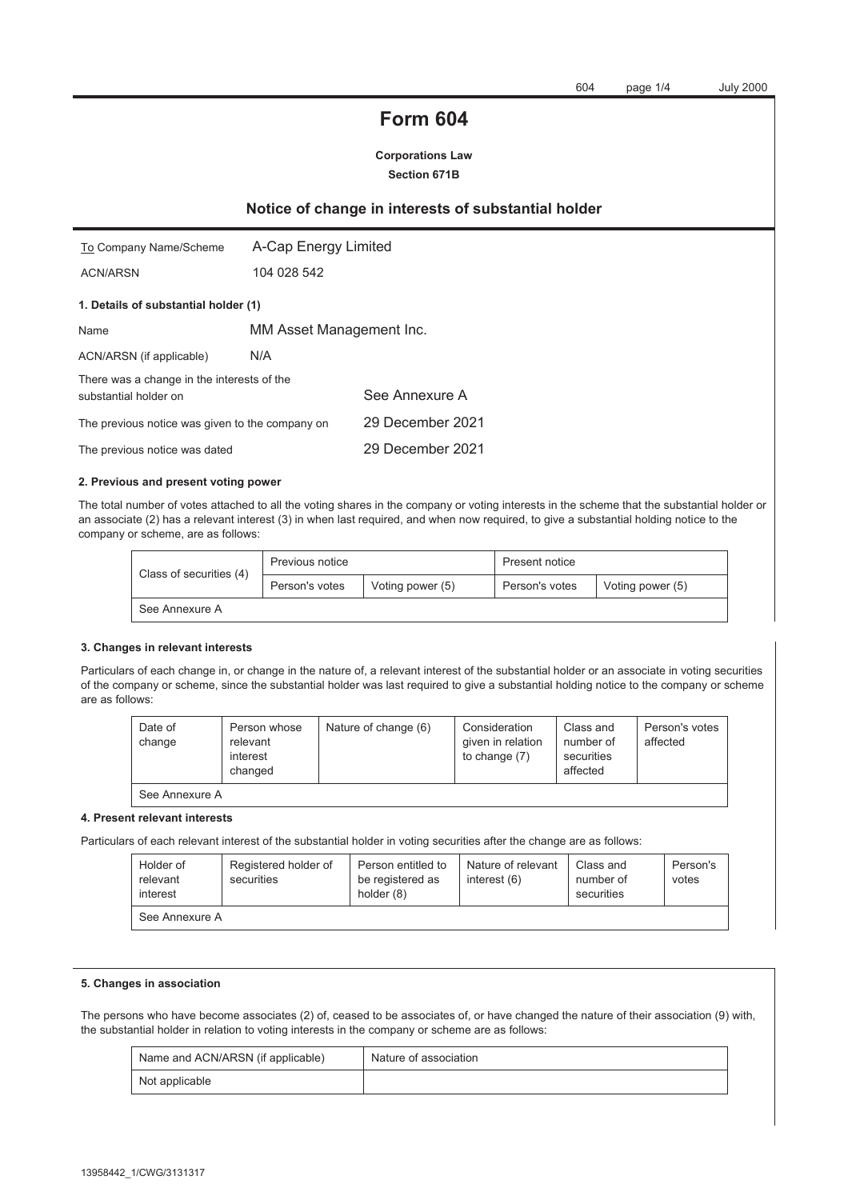# **Form 604**

**Corporations Law Section 671B** 

# **Notice of change in interests of substantial holder**

| To Company Name/Scheme                                              | A-Cap Energy Limited     |                  |  |  |
|---------------------------------------------------------------------|--------------------------|------------------|--|--|
| <b>ACN/ARSN</b>                                                     | 104 028 542              |                  |  |  |
| 1. Details of substantial holder (1)                                |                          |                  |  |  |
| Name                                                                | MM Asset Management Inc. |                  |  |  |
| ACN/ARSN (if applicable)                                            | N/A                      |                  |  |  |
| There was a change in the interests of the<br>substantial holder on |                          | See Annexure A   |  |  |
| The previous notice was given to the company on                     |                          | 29 December 2021 |  |  |
| The previous notice was dated                                       |                          | 29 December 2021 |  |  |

#### **2. Previous and present voting power**

The total number of votes attached to all the voting shares in the company or voting interests in the scheme that the substantial holder or an associate (2) has a relevant interest (3) in when last required, and when now required, to give a substantial holding notice to the company or scheme, are as follows:

| Class of securities (4) | Previous notice                    |  | Present notice |                  |
|-------------------------|------------------------------------|--|----------------|------------------|
|                         | Voting power (5)<br>Person's votes |  | Person's votes | Voting power (5) |
| See Annexure A          |                                    |  |                |                  |

#### **3. Changes in relevant interests**

Particulars of each change in, or change in the nature of, a relevant interest of the substantial holder or an associate in voting securities of the company or scheme, since the substantial holder was last required to give a substantial holding notice to the company or scheme are as follows:

| Date of<br>change                                                                                                                                                                                                                                                                                                              | Person whose<br>relevant<br>interest<br>changed | Nature of change (6) | Consideration<br>given in relation<br>to change (7) | Class and<br>number of<br>securities<br>affected | Person's votes<br>affected |
|--------------------------------------------------------------------------------------------------------------------------------------------------------------------------------------------------------------------------------------------------------------------------------------------------------------------------------|-------------------------------------------------|----------------------|-----------------------------------------------------|--------------------------------------------------|----------------------------|
| $\bigcap_{i=1}^{n}$ $\bigcap_{i=1}^{n}$ $\bigcap_{i=1}^{n}$ $\bigcap_{i=1}^{n}$ $\bigcap_{i=1}^{n}$ $\bigcap_{i=1}^{n}$ $\bigcap_{i=1}^{n}$ $\bigcap_{i=1}^{n}$ $\bigcap_{i=1}^{n}$ $\bigcap_{i=1}^{n}$ $\bigcap_{i=1}^{n}$ $\bigcap_{i=1}^{n}$ $\bigcap_{i=1}^{n}$ $\bigcap_{i=1}^{n}$ $\bigcap_{i=1}^{n}$ $\bigcap_{i=1}^{n$ |                                                 |                      |                                                     |                                                  |                            |

See Annexure A

#### **4. Present relevant interests**

Particulars of each relevant interest of the substantial holder in voting securities after the change are as follows:

| Holder of<br>relevant<br>interest | Registered holder of<br>securities | Person entitled to<br>be registered as<br>holder (8) | Nature of relevant<br>interest $(6)$ | Class and<br>number of<br>securities | Person's<br>votes |
|-----------------------------------|------------------------------------|------------------------------------------------------|--------------------------------------|--------------------------------------|-------------------|
| See Annexure A                    |                                    |                                                      |                                      |                                      |                   |

#### **5. Changes in association**

The persons who have become associates (2) of, ceased to be associates of, or have changed the nature of their association (9) with, the substantial holder in relation to voting interests in the company or scheme are as follows:

| Name and ACN/ARSN (if applicable) | Nature of association |
|-----------------------------------|-----------------------|
| Not applicable                    |                       |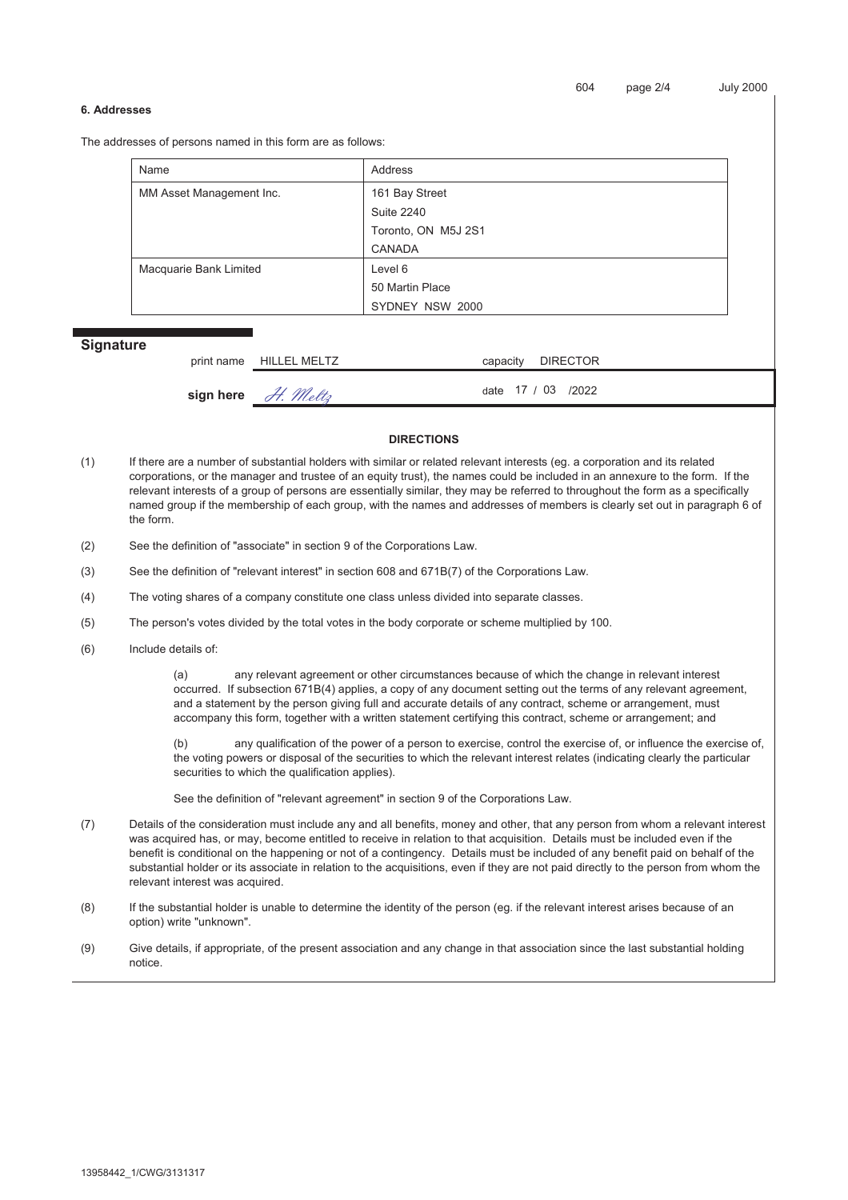#### **6. Addresses**

The addresses of persons named in this form are as follows:

| Name                     | Address             |  |
|--------------------------|---------------------|--|
| MM Asset Management Inc. | 161 Bay Street      |  |
|                          | <b>Suite 2240</b>   |  |
|                          | Toronto, ON M5J 2S1 |  |
|                          | <b>CANADA</b>       |  |
| Macquarie Bank Limited   | Level 6             |  |
|                          | 50 Martin Place     |  |
|                          | SYDNEY NSW 2000     |  |

## **Signature**

| print name HILLEL MELTZ | capacity DIRECTOR   |
|-------------------------|---------------------|
| sign here $H.$ Meltz    | date 17 / 03 / 2022 |

#### **DIRECTIONS**

- (1) If there are a number of substantial holders with similar or related relevant interests (eg. a corporation and its related corporations, or the manager and trustee of an equity trust), the names could be included in an annexure to the form. If the relevant interests of a group of persons are essentially similar, they may be referred to throughout the form as a specifically named group if the membership of each group, with the names and addresses of members is clearly set out in paragraph 6 of the form.
- (2) See the definition of "associate" in section 9 of the Corporations Law.
- (3) See the definition of "relevant interest" in section 608 and 671B(7) of the Corporations Law.
- (4) The voting shares of a company constitute one class unless divided into separate classes.
- (5) The person's votes divided by the total votes in the body corporate or scheme multiplied by 100.
- (6) Include details of:

(a) any relevant agreement or other circumstances because of which the change in relevant interest occurred. If subsection 671B(4) applies, a copy of any document setting out the terms of any relevant agreement, and a statement by the person giving full and accurate details of any contract, scheme or arrangement, must accompany this form, together with a written statement certifying this contract, scheme or arrangement; and

(b) any qualification of the power of a person to exercise, control the exercise of, or influence the exercise of, the voting powers or disposal of the securities to which the relevant interest relates (indicating clearly the particular securities to which the qualification applies).

See the definition of "relevant agreement" in section 9 of the Corporations Law.

- (7) Details of the consideration must include any and all benefits, money and other, that any person from whom a relevant interest was acquired has, or may, become entitled to receive in relation to that acquisition. Details must be included even if the benefit is conditional on the happening or not of a contingency. Details must be included of any benefit paid on behalf of the substantial holder or its associate in relation to the acquisitions, even if they are not paid directly to the person from whom the relevant interest was acquired.
- (8) If the substantial holder is unable to determine the identity of the person (eg. if the relevant interest arises because of an option) write "unknown".
- (9) Give details, if appropriate, of the present association and any change in that association since the last substantial holding notice.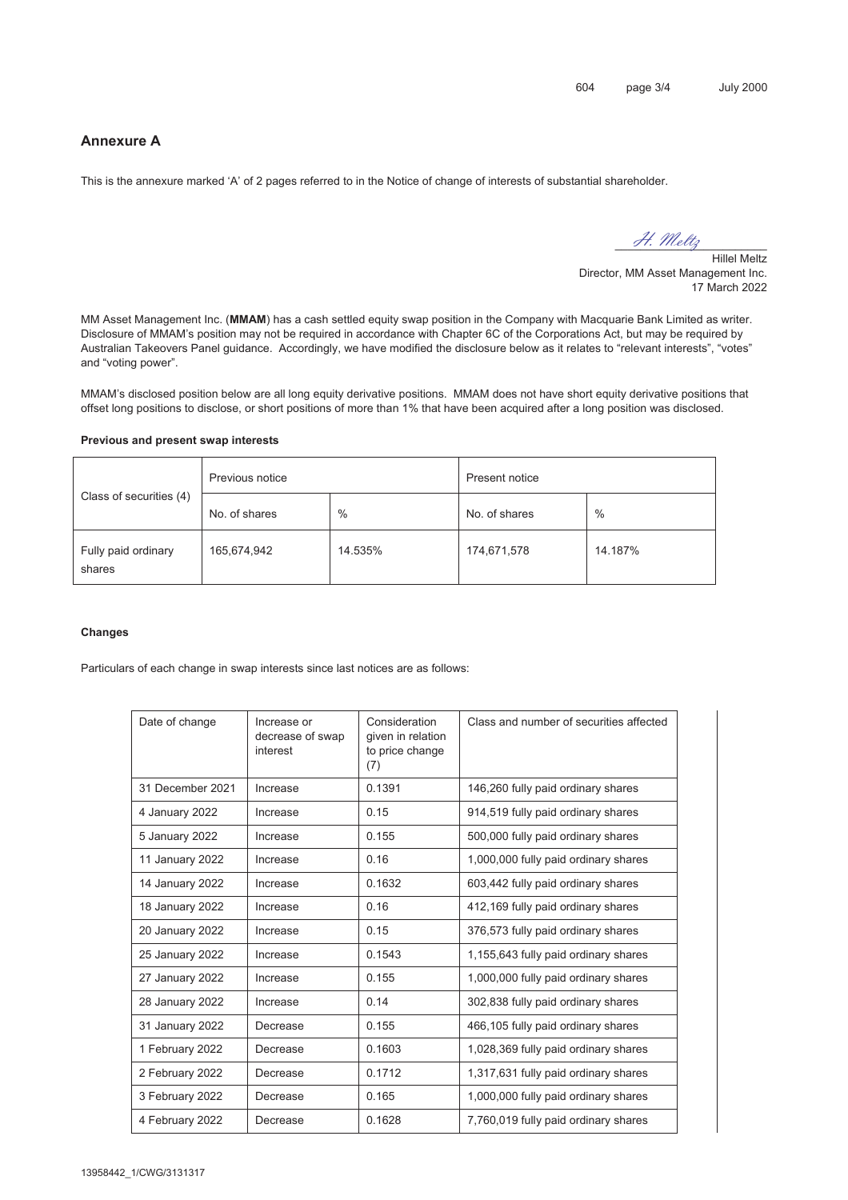# **Annexure A**

This is the annexure marked 'A' of 2 pages referred to in the Notice of change of interests of substantial shareholder.

H. Meltz

Hillel Meltz Director, MM Asset Management Inc. 17 March 2022

MM Asset Management Inc. (**MMAM**) has a cash settled equity swap position in the Company with Macquarie Bank Limited as writer. Disclosure of MMAM's position may not be required in accordance with Chapter 6C of the Corporations Act, but may be required by Australian Takeovers Panel guidance. Accordingly, we have modified the disclosure below as it relates to "relevant interests", "votes" and "voting power".

MMAM's disclosed position below are all long equity derivative positions. MMAM does not have short equity derivative positions that offset long positions to disclose, or short positions of more than 1% that have been acquired after a long position was disclosed.

#### **Previous and present swap interests**

|                               | Previous notice |         | Present notice |         |
|-------------------------------|-----------------|---------|----------------|---------|
| Class of securities (4)       | No. of shares   | $\%$    | No. of shares  | $\%$    |
| Fully paid ordinary<br>shares | 165,674,942     | 14.535% | 174,671,578    | 14.187% |

### **Changes**

Particulars of each change in swap interests since last notices are as follows:

| Date of change   | Increase or<br>decrease of swap<br>interest | Consideration<br>given in relation<br>to price change<br>(7) | Class and number of securities affected |
|------------------|---------------------------------------------|--------------------------------------------------------------|-----------------------------------------|
| 31 December 2021 | Increase                                    | 0.1391                                                       | 146,260 fully paid ordinary shares      |
| 4 January 2022   | Increase                                    | 0.15                                                         | 914,519 fully paid ordinary shares      |
| 5 January 2022   | Increase                                    | 0.155                                                        | 500,000 fully paid ordinary shares      |
| 11 January 2022  | Increase                                    | 0.16                                                         | 1,000,000 fully paid ordinary shares    |
| 14 January 2022  | Increase                                    | 0.1632                                                       | 603,442 fully paid ordinary shares      |
| 18 January 2022  | Increase                                    | 0.16                                                         | 412,169 fully paid ordinary shares      |
| 20 January 2022  | Increase                                    | 0.15                                                         | 376,573 fully paid ordinary shares      |
| 25 January 2022  | Increase                                    | 0.1543                                                       | 1,155,643 fully paid ordinary shares    |
| 27 January 2022  | Increase                                    | 0.155                                                        | 1,000,000 fully paid ordinary shares    |
| 28 January 2022  | Increase                                    | 0.14                                                         | 302,838 fully paid ordinary shares      |
| 31 January 2022  | Decrease                                    | 0.155                                                        | 466,105 fully paid ordinary shares      |
| 1 February 2022  | Decrease                                    | 0.1603                                                       | 1,028,369 fully paid ordinary shares    |
| 2 February 2022  | Decrease                                    | 0.1712                                                       | 1,317,631 fully paid ordinary shares    |
| 3 February 2022  | Decrease                                    | 0.165                                                        | 1,000,000 fully paid ordinary shares    |
| 4 February 2022  | Decrease                                    | 0.1628                                                       | 7,760,019 fully paid ordinary shares    |